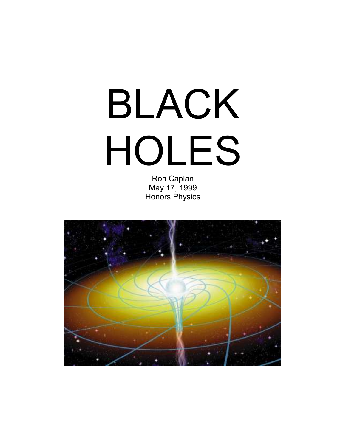# BLACK HOLES

Ron Caplan May 17, 1999 Honors Physics

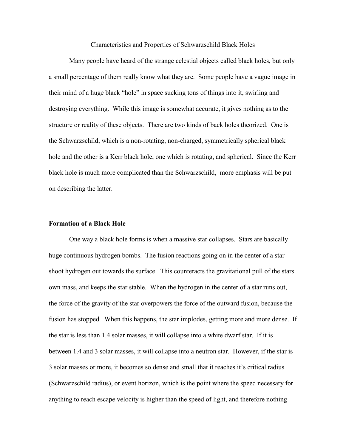### Characteristics and Properties of Schwarzschild Black Holes

Many people have heard of the strange celestial objects called black holes, but only a small percentage of them really know what they are. Some people have a vague image in their mind of a huge black "hole" in space sucking tons of things into it, swirling and destroying everything. While this image is somewhat accurate, it gives nothing as to the structure or reality of these objects. There are two kinds of back holes theorized. One is the Schwarzschild, which is a non-rotating, non-charged, symmetrically spherical black hole and the other is a Kerr black hole, one which is rotating, and spherical. Since the Kerr black hole is much more complicated than the Schwarzschild, more emphasis will be put on describing the latter.

# **Formation of a Black Hole**

One way a black hole forms is when a massive star collapses. Stars are basically huge continuous hydrogen bombs. The fusion reactions going on in the center of a star shoot hydrogen out towards the surface. This counteracts the gravitational pull of the stars own mass, and keeps the star stable. When the hydrogen in the center of a star runs out, the force of the gravity of the star overpowers the force of the outward fusion, because the fusion has stopped. When this happens, the star implodes, getting more and more dense. If the star is less than 1.4 solar masses, it will collapse into a white dwarf star. If it is between 1.4 and 3 solar masses, it will collapse into a neutron star. However, if the star is 3 solar masses or more, it becomes so dense and small that it reaches it"s critical radius (Schwarzschild radius), or event horizon, which is the point where the speed necessary for anything to reach escape velocity is higher than the speed of light, and therefore nothing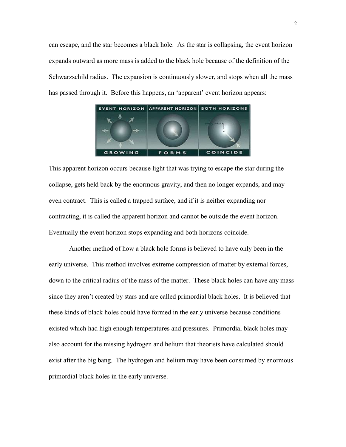can escape, and the star becomes a black hole. As the star is collapsing, the event horizon expands outward as more mass is added to the black hole because of the definition of the Schwarzschild radius. The expansion is continuously slower, and stops when all the mass has passed through it. Before this happens, an 'apparent' event horizon appears:



This apparent horizon occurs because light that was trying to escape the star during the collapse, gets held back by the enormous gravity, and then no longer expands, and may even contract. This is called a trapped surface, and if it is neither expanding nor contracting, it is called the apparent horizon and cannot be outside the event horizon. Eventually the event horizon stops expanding and both horizons coincide.

Another method of how a black hole forms is believed to have only been in the early universe. This method involves extreme compression of matter by external forces, down to the critical radius of the mass of the matter. These black holes can have any mass since they aren"t created by stars and are called primordial black holes. It is believed that these kinds of black holes could have formed in the early universe because conditions existed which had high enough temperatures and pressures. Primordial black holes may also account for the missing hydrogen and helium that theorists have calculated should exist after the big bang. The hydrogen and helium may have been consumed by enormous primordial black holes in the early universe.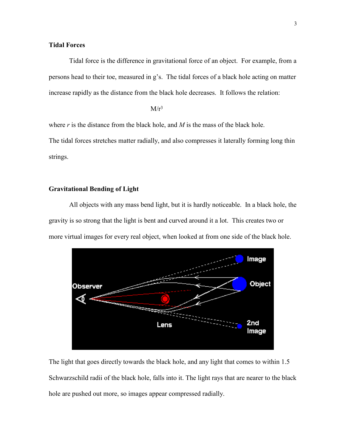# **Tidal Forces**

Tidal force is the difference in gravitational force of an object. For example, from a persons head to their toe, measured in g"s. The tidal forces of a black hole acting on matter increase rapidly as the distance from the black hole decreases. It follows the relation:

 $M/r^3$ 

where *r* is the distance from the black hole, and *M* is the mass of the black hole.

The tidal forces stretches matter radially, and also compresses it laterally forming long thin strings.

## **Gravitational Bending of Light**

All objects with any mass bend light, but it is hardly noticeable. In a black hole, the gravity is so strong that the light is bent and curved around it a lot. This creates two or more virtual images for every real object, when looked at from one side of the black hole.



The light that goes directly towards the black hole, and any light that comes to within 1.5 Schwarzschild radii of the black hole, falls into it. The light rays that are nearer to the black hole are pushed out more, so images appear compressed radially.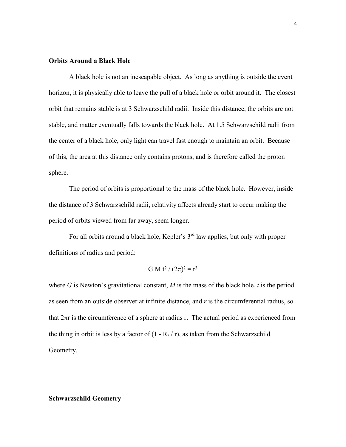## **Orbits Around a Black Hole**

A black hole is not an inescapable object. As long as anything is outside the event horizon, it is physically able to leave the pull of a black hole or orbit around it. The closest orbit that remains stable is at 3 Schwarzschild radii. Inside this distance, the orbits are not stable, and matter eventually falls towards the black hole. At 1.5 Schwarzschild radii from the center of a black hole, only light can travel fast enough to maintain an orbit. Because of this, the area at this distance only contains protons, and is therefore called the proton sphere.

The period of orbits is proportional to the mass of the black hole. However, inside the distance of 3 Schwarzschild radii, relativity affects already start to occur making the period of orbits viewed from far away, seem longer.

For all orbits around a black hole, Kepler's  $3<sup>rd</sup>$  law applies, but only with proper definitions of radius and period:

G M t<sup>2</sup> / 
$$
(2\pi)^2 = r^3
$$

where *G* is Newton's gravitational constant, *M* is the mass of the black hole, *t* is the period as seen from an outside observer at infinite distance, and *r* is the circumferential radius, so that  $2\pi r$  is the circumference of a sphere at radius r. The actual period as experienced from the thing in orbit is less by a factor of  $(1 - \text{Rs}/r)$ , as taken from the Schwarzschild Geometry.

## **Schwarzschild Geometry**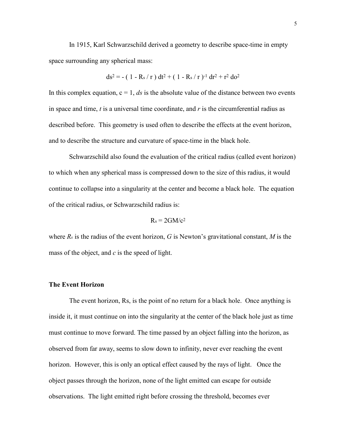In 1915, Karl Schwarzschild derived a geometry to describe space-time in empty space surrounding any spherical mass:

$$
ds^{2} = -(1 - Rs / r) dt^{2} + (1 - Rs / r)^{-1} dr^{2} + r^{2} do^{2}
$$

In this complex equation,  $c = 1$ , *ds* is the absolute value of the distance between two events in space and time, *t* is a universal time coordinate, and *r* is the circumferential radius as described before. This geometry is used often to describe the effects at the event horizon, and to describe the structure and curvature of space-time in the black hole.

Schwarzschild also found the evaluation of the critical radius (called event horizon) to which when any spherical mass is compressed down to the size of this radius, it would continue to collapse into a singularity at the center and become a black hole. The equation of the critical radius, or Schwarzschild radius is:

$$
R_s = 2GM/c^2
$$

where  $R_s$  is the radius of the event horizon, G is Newton's gravitational constant, M is the mass of the object, and *c* is the speed of light.

#### **The Event Horizon**

The event horizon, Rs, is the point of no return for a black hole. Once anything is inside it, it must continue on into the singularity at the center of the black hole just as time must continue to move forward. The time passed by an object falling into the horizon, as observed from far away, seems to slow down to infinity, never ever reaching the event horizon. However, this is only an optical effect caused by the rays of light. Once the object passes through the horizon, none of the light emitted can escape for outside observations. The light emitted right before crossing the threshold, becomes ever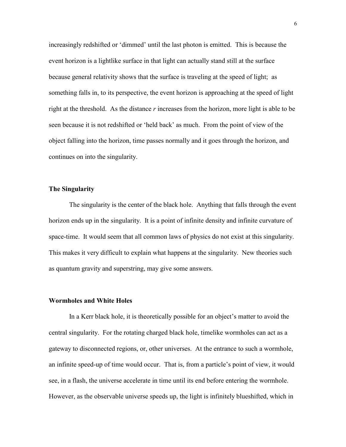increasingly redshifted or 'dimmed' until the last photon is emitted. This is because the event horizon is a lightlike surface in that light can actually stand still at the surface because general relativity shows that the surface is traveling at the speed of light; as something falls in, to its perspective, the event horizon is approaching at the speed of light right at the threshold. As the distance *r* increases from the horizon, more light is able to be seen because it is not redshifted or "held back" as much. From the point of view of the object falling into the horizon, time passes normally and it goes through the horizon, and continues on into the singularity.

## **The Singularity**

The singularity is the center of the black hole. Anything that falls through the event horizon ends up in the singularity. It is a point of infinite density and infinite curvature of space-time. It would seem that all common laws of physics do not exist at this singularity. This makes it very difficult to explain what happens at the singularity. New theories such as quantum gravity and superstring, may give some answers.

## **Wormholes and White Holes**

In a Kerr black hole, it is theoretically possible for an object"s matter to avoid the central singularity. For the rotating charged black hole, timelike wormholes can act as a gateway to disconnected regions, or, other universes. At the entrance to such a wormhole, an infinite speed-up of time would occur. That is, from a particle"s point of view, it would see, in a flash, the universe accelerate in time until its end before entering the wormhole. However, as the observable universe speeds up, the light is infinitely blueshifted, which in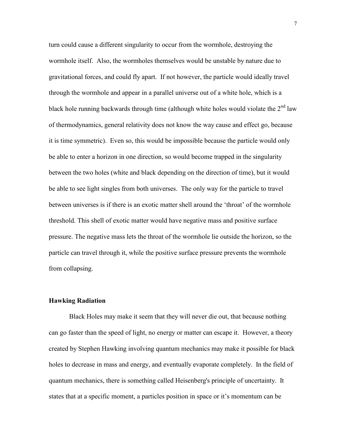turn could cause a different singularity to occur from the wormhole, destroying the wormhole itself. Also, the wormholes themselves would be unstable by nature due to gravitational forces, and could fly apart. If not however, the particle would ideally travel through the wormhole and appear in a parallel universe out of a white hole, which is a black hole running backwards through time (although white holes would violate the  $2<sup>nd</sup>$  law of thermodynamics, general relativity does not know the way cause and effect go, because it is time symmetric). Even so, this would be impossible because the particle would only be able to enter a horizon in one direction, so would become trapped in the singularity between the two holes (white and black depending on the direction of time), but it would be able to see light singles from both universes. The only way for the particle to travel between universes is if there is an exotic matter shell around the "throat" of the wormhole threshold. This shell of exotic matter would have negative mass and positive surface pressure. The negative mass lets the throat of the wormhole lie outside the horizon, so the particle can travel through it, while the positive surface pressure prevents the wormhole from collapsing.

## **Hawking Radiation**

Black Holes may make it seem that they will never die out, that because nothing can go faster than the speed of light, no energy or matter can escape it. However, a theory created by Stephen Hawking involving quantum mechanics may make it possible for black holes to decrease in mass and energy, and eventually evaporate completely. In the field of quantum mechanics, there is something called Heisenberg's principle of uncertainty. It states that at a specific moment, a particles position in space or it"s momentum can be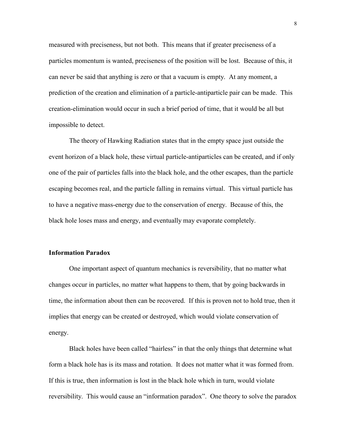measured with preciseness, but not both. This means that if greater preciseness of a particles momentum is wanted, preciseness of the position will be lost. Because of this, it can never be said that anything is zero or that a vacuum is empty. At any moment, a prediction of the creation and elimination of a particle-antiparticle pair can be made. This creation-elimination would occur in such a brief period of time, that it would be all but impossible to detect.

The theory of Hawking Radiation states that in the empty space just outside the event horizon of a black hole, these virtual particle-antiparticles can be created, and if only one of the pair of particles falls into the black hole, and the other escapes, than the particle escaping becomes real, and the particle falling in remains virtual. This virtual particle has to have a negative mass-energy due to the conservation of energy. Because of this, the black hole loses mass and energy, and eventually may evaporate completely.

# **Information Paradox**

One important aspect of quantum mechanics is reversibility, that no matter what changes occur in particles, no matter what happens to them, that by going backwards in time, the information about then can be recovered. If this is proven not to hold true, then it implies that energy can be created or destroyed, which would violate conservation of energy.

Black holes have been called "hairless" in that the only things that determine what form a black hole has is its mass and rotation. It does not matter what it was formed from. If this is true, then information is lost in the black hole which in turn, would violate reversibility. This would cause an "information paradox". One theory to solve the paradox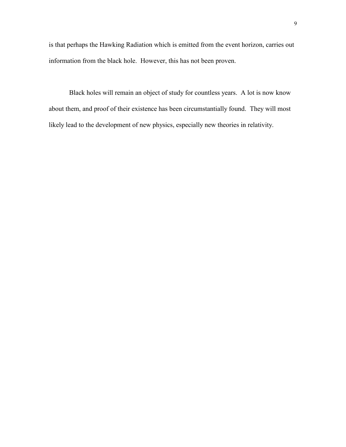is that perhaps the Hawking Radiation which is emitted from the event horizon, carries out information from the black hole. However, this has not been proven.

Black holes will remain an object of study for countless years. A lot is now know about them, and proof of their existence has been circumstantially found. They will most likely lead to the development of new physics, especially new theories in relativity.